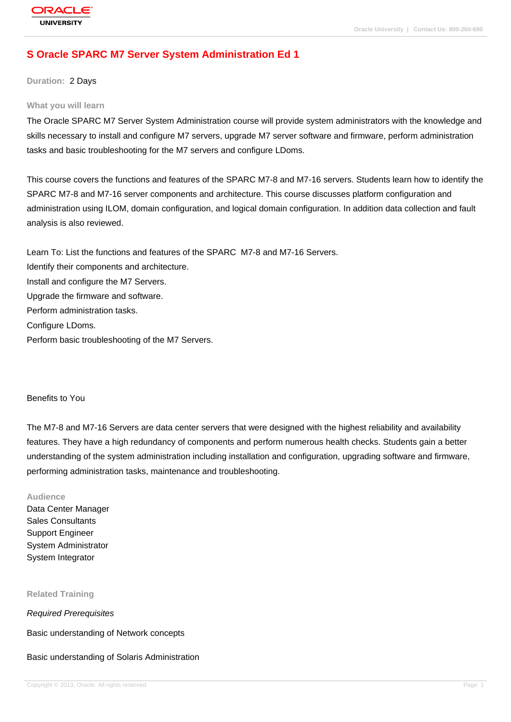## **[S Oracle SPAR](http://education.oracle.com/pls/web_prod-plq-dad/db_pages.getpage?page_id=3)C M7 Server System Administration Ed 1**

**Duration:** 2 Days

#### **What you will learn**

The Oracle SPARC M7 Server System Administration course will provide system administrators with the knowledge and skills necessary to install and configure M7 servers, upgrade M7 server software and firmware, perform administration tasks and basic troubleshooting for the M7 servers and configure LDoms.

This course covers the functions and features of the SPARC M7-8 and M7-16 servers. Students learn how to identify the SPARC M7-8 and M7-16 server components and architecture. This course discusses platform configuration and administration using ILOM, domain configuration, and logical domain configuration. In addition data collection and fault analysis is also reviewed.

Learn To: List the functions and features of the SPARC M7-8 and M7-16 Servers. Identify their components and architecture. Install and configure the M7 Servers. Upgrade the firmware and software. Perform administration tasks. Configure LDoms. Perform basic troubleshooting of the M7 Servers.

#### Benefits to You

The M7-8 and M7-16 Servers are data center servers that were designed with the highest reliability and availability features. They have a high redundancy of components and perform numerous health checks. Students gain a better understanding of the system administration including installation and configuration, upgrading software and firmware, performing administration tasks, maintenance and troubleshooting.

#### **Audience**

Data Center Manager Sales Consultants Support Engineer System Administrator System Integrator

**Related Training**

Required Prerequisites

Basic understanding of Network concepts

### Basic understanding of Solaris Administration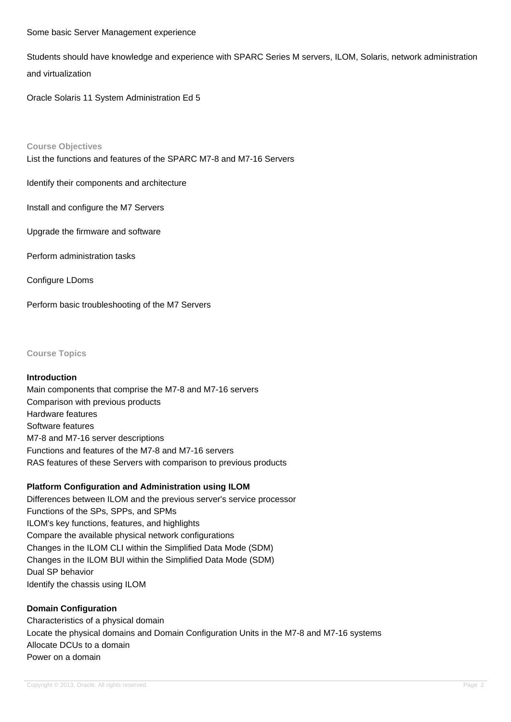#### Some basic Server Management experience

Students should have knowledge and experience with SPARC Series M servers, ILOM, Solaris, network administration and virtualization

Oracle Solaris 11 System Administration Ed 5

#### **Course Objectives**

List the functions and features of the SPARC M7-8 and M7-16 Servers

Identify their components and architecture

Install and configure the M7 Servers

Upgrade the firmware and software

Perform administration tasks

Configure LDoms

Perform basic troubleshooting of the M7 Servers

**Course Topics**

### **Introduction**

Main components that comprise the M7-8 and M7-16 servers Comparison with previous products Hardware features Software features M7-8 and M7-16 server descriptions Functions and features of the M7-8 and M7-16 servers RAS features of these Servers with comparison to previous products

## **Platform Configuration and Administration using ILOM**

Differences between ILOM and the previous server's service processor Functions of the SPs, SPPs, and SPMs ILOM's key functions, features, and highlights Compare the available physical network configurations Changes in the ILOM CLI within the Simplified Data Mode (SDM) Changes in the ILOM BUI within the Simplified Data Mode (SDM) Dual SP behavior Identify the chassis using ILOM

# **Domain Configuration** Characteristics of a physical domain Locate the physical domains and Domain Configuration Units in the M7-8 and M7-16 systems Allocate DCUs to a domain Power on a domain